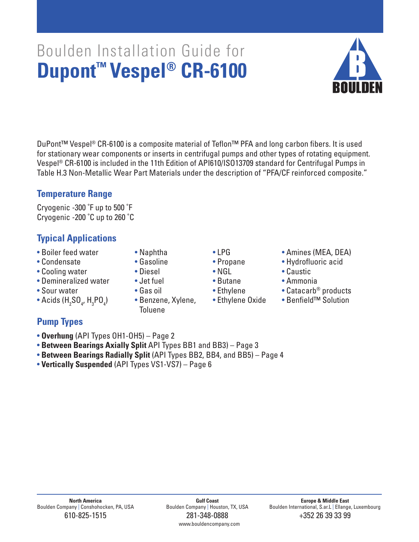# Boulden International, S.ar.L | Ellange, Luxembourg

# Boulden Installation Guide for **Dupont™ Vespel® CR-6100**

DuPont™ Vespel® CR-6100 is a composite material of Teflon™ PFA and long carbon fibers. It is used for stationary wear components or inserts in centrifugal pumps and other types of rotating equipment. Vespel ® CR-6100 is included in the 11th Edition of API610/ISO13709 standard for Centrifugal Pumps in Table H.3 Non-Metallic Wear Part Materials under the description of "PFA/CF reinforced composite."

## **Temperature Range**

Cryogenic -300 ˚F up to 500 ˚F Cryogenic -200 ˚C up to 260 ˚C

## **Typical Applications**

- 
- 
- Cooling water Diesel NGL Caustic
- Demineralized water Jet fuel Butane Ammonia
- 

**Pump Types**

 $\bullet$  Acids (H $_{_2}$ SO $_{_4}$ , H $_{_3}$ PO $_{_4}$ 

• **Overhung** (API Types OH1-OH5) – Page 2

• **Vertically Suspended** (API Types VS1-VS7) – Page 6

- 
- 
- 
- 
- 

• **Between Bearings Axially Split** API Types BB1 and BB3) – Page 3

• Benzene, Xylene, • Ethylene Oxide Toluene

• **Between Bearings Radially Split** (API Types BB2, BB4, and BB5) – Page 4

- 
- 
- 
- -
- Boiler feed water Naphtha LPG Amines (MEA, DEA)
- Condensate • Gasoline Propane • Hydrofluoric acid
	-
	-
- Sour water Gas oil Ethylene Catacarb® products Acids (H SO LH PO ) Benzene Xylene • Fthylene Oxide Benfield™ Solution
	-



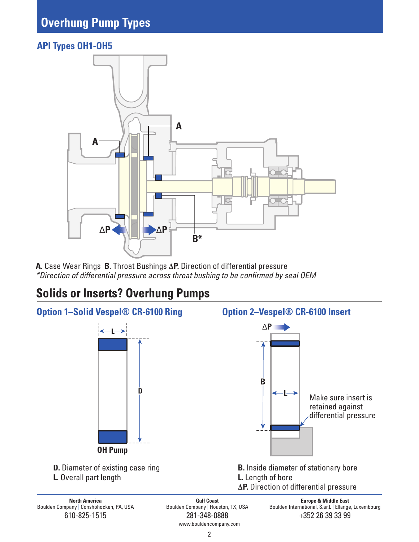## **API Types OH1-OH5**



**A.** Case Wear Rings **B.** Throat Bushings **ΔP.** Direction of differential pressure \*Direction of differential pressure across throat bushing to be confirmed by seal OEM

# **Solids or Inserts? Overhung Pumps**

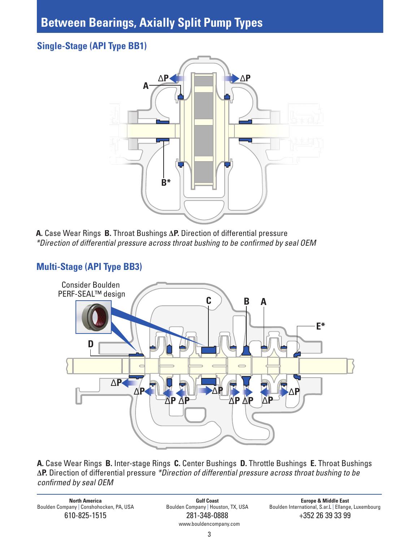## **Between Bearings, Axially Split Pump Types**

## **Single-Stage (API Type BB1)**



**A.** Case Wear Rings **B.** Throat Bushings **ΔP.** Direction of differential pressure \*Direction of differential pressure across throat bushing to be confirmed by seal OEM

## **Multi-Stage (API Type BB3)**



**A.** Case Wear Rings **B.** Inter-stage Rings **C.** Center Bushings **D.** Throttle Bushings **E.** Throat Bushings **ΔP.** Direction of differential pressure \*Direction of differential pressure across throat bushing to be confirmed by seal OEM

**North America**<br>Boulden Company | Conshohocken, PA, USA Boulden Boulden Company | Houston, TX, USA Boulden International, S.ar.L | Ellange

610-825-1515 281-348-0888 +352 26 39 33 99 www.bouldencompany.com

Boulden International, S.ar.L | Ellange, Luxembourg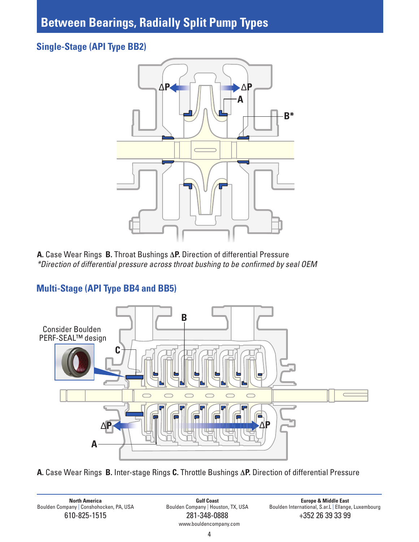# **Between Bearings, Radially Split Pump Types**

## **Single-Stage (API Type BB2)**



**A.** Case Wear Rings **B.** Throat Bushings **ΔP.** Direction of differential Pressure \*Direction of differential pressure across throat bushing to be confirmed by seal OEM



## **Multi-Stage (API Type BB4 and BB5)**

**A.** Case Wear Rings **B.** Inter-stage Rings **C.** Throttle Bushings **ΔP.** Direction of differential Pressure

**North America Noth America Chemica Gulf Coast Gulf Coast Gulf Coast Europe & Middle East Boulden Company | Houston, TX, USA Boulden International, S.ar.L** | Ellange **Boulden Ellange Boulden Internation** 

610-825-1515 281-348-0888 +352 26 39 33 99 www.bouldencompany.com

Boulden International, S.ar.L | Ellange, Luxembourg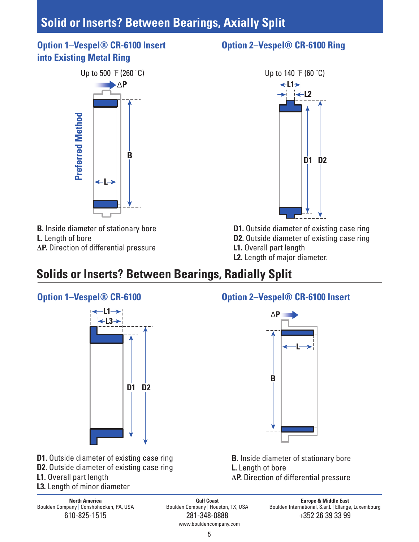# **Solid or Inserts? Between Bearings, Axially Split**

## **Option 1–Vespel® CR-6100 Insert into Existing Metal Ring**



- **B.** Inside diameter of stationary bore
- **L.** Length of bore
- **ΔP.** Direction of differential pressure

## **Option 2–Vespel® CR-6100 Ring**



- **D1.** Outside diameter of existing case ring **D2.** Outside diameter of existing case ring
- **L1.** Overall part length
- **L2.** Length of major diameter.

# **Solids or Inserts? Between Bearings, Radially Split**



## **D1.** Outside diameter of existing case ring **D2.** Outside diameter of existing case ring **L1.** Overall part length **L3.** Length of minor diameter

**North America**<br>Boulden Company | Conshohocken, PA, USA Boulden Boulden Company | Houston, TX, USA Boulden International, S.ar.L | Ellange

610-825-1515 281-348-0888 +352 26 39 33 99 www.bouldencompany.com

## **Option 2–Vespel® CR-6100 Insert**



**B.** Inside diameter of stationary bore **L.** Length of bore **ΔP.** Direction of differential pressure

Boulden International, S.ar.L | Ellange, Luxembourg

### 5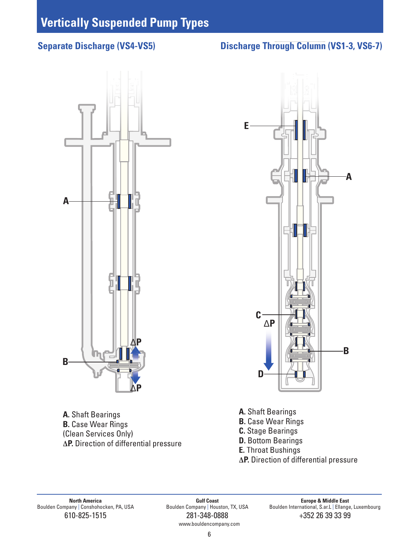# **A B** Δ**P** Δ**P**



**A.** Shaft Bearings **B.** Case Wear Rings (Clean Services Only) **ΔP.** Direction of differential pressure **A.** Shaft Bearings **B.** Case Wear Rings **C.** Stage Bearings **D.** Bottom Bearings **E.** Throat Bushings **ΔP.** Direction of differential pressure

**North America**<br>Boulden Company | Conshohocken, PA, USA Boulden Boulden Company | Houston, TX, USA Boulden International, S.ar.L | Ellange

www.bouldencompany.com

Boulden International, S.ar.L | Ellange, Luxembourg 610-825-1515 281-348-0888 +352 26 39 33 99

## **Separate Discharge (VS4-VS5) Discharge Through Column (VS1-3, VS6-7)**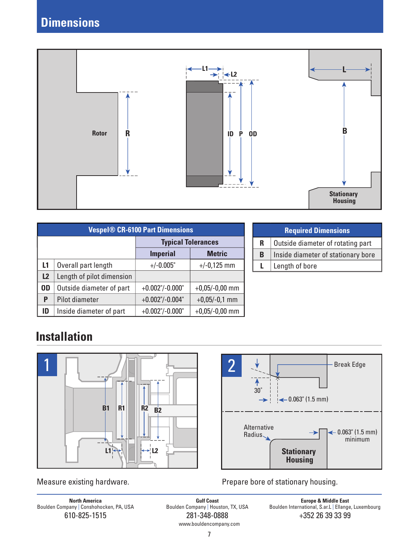

| <b>Vespel® CR-6100 Part Dimensions</b> |                           |                           |                  |  |  |  |  |
|----------------------------------------|---------------------------|---------------------------|------------------|--|--|--|--|
|                                        |                           | <b>Typical Tolerances</b> |                  |  |  |  |  |
|                                        |                           | <b>Imperial</b>           | <b>Metric</b>    |  |  |  |  |
| L1                                     | Overall part length       | $+/-0.005"$               | $+/-0,125$ mm    |  |  |  |  |
| L2                                     | Length of pilot dimension |                           |                  |  |  |  |  |
| <b>OD</b>                              | Outside diameter of part  | $+0.002$ "/-0.000"        | $+0,05/-0,00$ mm |  |  |  |  |
| P                                      | Pilot diameter            | $+0.002$ "/-0.004"        | $+0,05/-0,1$ mm  |  |  |  |  |
| ID                                     | Inside diameter of part   | $+0.002$ "/-0.000"        | $+0,05/-0,00$ mm |  |  |  |  |

|   | <b>Required Dimensions</b>         |
|---|------------------------------------|
| R | Outside diameter of rotating part  |
| B | Inside diameter of stationary bore |
| L | Length of bore                     |
|   |                                    |

# **Installation**





Measure existing hardware. The parameter of stationary housing.

**North America Gulf Coast Europe & Middle East** 610-825-1515 281-348-0888 +352 26 39 33 99 www.bouldencompany.com

Boulden Company | Conshohocken, PA, USA Boulden Company | Houston, TX, USA Boulden International, S.ar.L | Ellange, Luxembourg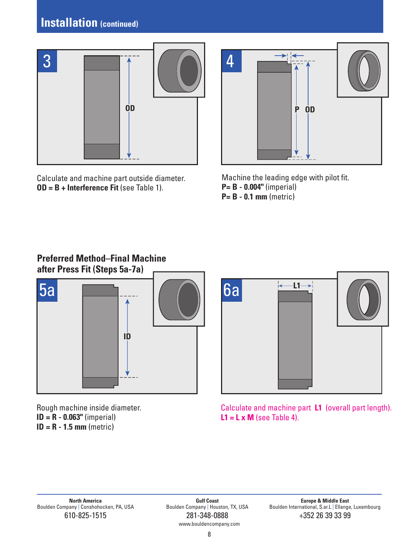# **Installation (continued)**



Calculate and machine part outside diameter. **OD = B + Interference Fit** (see Table 1).



Machine the leading edge with pilot fit. **P= B - 0.004"** (imperial) **P= B - 0.1 mm** (metric)

## **Preferred Method–Final Machine after Press Fit (Steps 5a-7a)**



Rough machine inside diameter. **ID = R - 0.063"** (imperial) **ID = R - 1.5 mm** (metric)

Calculate and machine part **L1** (overall part length). **L1 = L x M** (see Table 4).

www.bouldencompany.com

Boulden International, S.ar.L | Ellange, Luxembourg 610-825-1515 281-348-0888 +352 26 39 33 99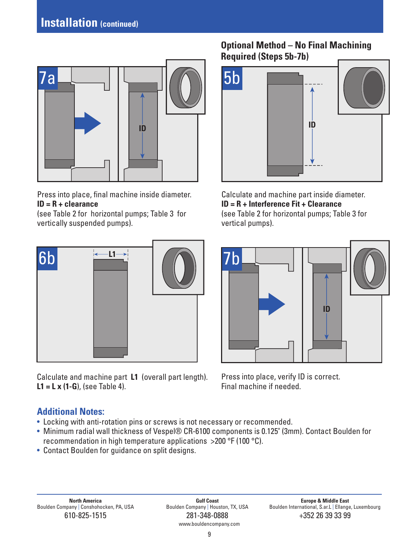

Press into place, final machine inside diameter. **ID = R + clearance**

(see Table 2 for horizontal pumps; Table 3 for vertically suspended pumps).



Calculate and machine part **L1** (overall part length). **L1 = L x (1-G**), (see Table 4).

## **Optional Method – No Final Machining Required (Steps 5b-7b)**



Calculate and machine part inside diameter. **ID = R + Interference Fit + Clearance** (see Table 2 for horizontal pumps; Table 3 for vertical pumps).



Press into place, verify ID is correct. Final machine if needed.

## **Additional Notes:**

- Locking with anti-rotation pins or screws is not necessary or recommended.
- Minimum radial wall thickness of Vespel® CR-6100 components is 0.125" (3mm). Contact Boulden for recommendation in high temperature applications >200 °F (100 °C).
- Contact Boulden for guidance on split designs.

www.bouldencompany.com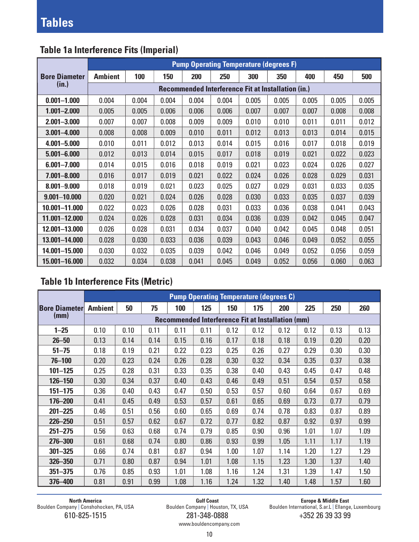|                      | <b>Pump Operating Temperature (degrees F)</b> |                                                           |       |       |       |       |       |       |       |       |  |  |  |
|----------------------|-----------------------------------------------|-----------------------------------------------------------|-------|-------|-------|-------|-------|-------|-------|-------|--|--|--|
| <b>Bore Diameter</b> | <b>Ambient</b>                                | 100                                                       | 150   | 200   | 250   | 300   | 350   | 400   | 450   | 500   |  |  |  |
| (in.)                |                                               | <b>Recommended Interference Fit at Installation (in.)</b> |       |       |       |       |       |       |       |       |  |  |  |
| $0.001 - 1.000$      | 0.004                                         | 0.004                                                     | 0.004 | 0.004 | 0.004 | 0.005 | 0.005 | 0.005 | 0.005 | 0.005 |  |  |  |
| $1.001 - 2.000$      | 0.005                                         | 0.005                                                     | 0.006 | 0.006 | 0.006 | 0.007 | 0.007 | 0.007 | 0.008 | 0.008 |  |  |  |
| $2.001 - 3.000$      | 0.007                                         | 0.007                                                     | 0.008 | 0.009 | 0.009 | 0.010 | 0.010 | 0.011 | 0.011 | 0.012 |  |  |  |
| $3.001 - 4.000$      | 0.008                                         | 0.008                                                     | 0.009 | 0.010 | 0.011 | 0.012 | 0.013 | 0.013 | 0.014 | 0.015 |  |  |  |
| $4.001 - 5.000$      | 0.010                                         | 0.011                                                     | 0.012 | 0.013 | 0.014 | 0.015 | 0.016 | 0.017 | 0.018 | 0.019 |  |  |  |
| $5.001 - 6.000$      | 0.012                                         | 0.013                                                     | 0.014 | 0.015 | 0.017 | 0.018 | 0.019 | 0.021 | 0.022 | 0.023 |  |  |  |
| $6.001 - 7.000$      | 0.014                                         | 0.015                                                     | 0.016 | 0.018 | 0.019 | 0.021 | 0.023 | 0.024 | 0.026 | 0.027 |  |  |  |
| $7.001 - 8.000$      | 0.016                                         | 0.017                                                     | 0.019 | 0.021 | 0.022 | 0.024 | 0.026 | 0.028 | 0.029 | 0.031 |  |  |  |
| $8.001 - 9.000$      | 0.018                                         | 0.019                                                     | 0.021 | 0.023 | 0.025 | 0.027 | 0.029 | 0.031 | 0.033 | 0.035 |  |  |  |
| $9.001 - 10.000$     | 0.020                                         | 0.021                                                     | 0.024 | 0.026 | 0.028 | 0.030 | 0.033 | 0.035 | 0.037 | 0.039 |  |  |  |
| 10.001-11.000        | 0.022                                         | 0.023                                                     | 0.026 | 0.028 | 0.031 | 0.033 | 0.036 | 0.038 | 0.041 | 0.043 |  |  |  |
| 11.001-12.000        | 0.024                                         | 0.026                                                     | 0.028 | 0.031 | 0.034 | 0.036 | 0.039 | 0.042 | 0.045 | 0.047 |  |  |  |
| 12.001-13.000        | 0.026                                         | 0.028                                                     | 0.031 | 0.034 | 0.037 | 0.040 | 0.042 | 0.045 | 0.048 | 0.051 |  |  |  |
| 13.001-14.000        | 0.028                                         | 0.030                                                     | 0.033 | 0.036 | 0.039 | 0.043 | 0.046 | 0.049 | 0.052 | 0.055 |  |  |  |
| 14.001-15.000        | 0.030                                         | 0.032                                                     | 0.035 | 0.039 | 0.042 | 0.046 | 0.049 | 0.052 | 0.056 | 0.059 |  |  |  |
| 15.001-16.000        | 0.032                                         | 0.034                                                     | 0.038 | 0.041 | 0.045 | 0.049 | 0.052 | 0.056 | 0.060 | 0.063 |  |  |  |

## **Table 1a Interference Fits (Imperial)**

## **Table 1b Interference Fits (Metric)**

|                      | <b>Pump Operating Temperature (degrees C)</b>            |      |      |      |      |      |      |      |      |      |      |  |  |
|----------------------|----------------------------------------------------------|------|------|------|------|------|------|------|------|------|------|--|--|
| <b>Bore Diameter</b> | <b>Ambient</b>                                           | 50   | 75   | 100  | 125  | 150  | 175  | 200  | 225  | 250  | 260  |  |  |
| (mm)                 | <b>Recommended Interference Fit at Installation (mm)</b> |      |      |      |      |      |      |      |      |      |      |  |  |
| $1 - 25$             | 0.10                                                     | 0.10 | 0.11 | 0.11 | 0.11 | 0.12 | 0.12 | 0.12 | 0.12 | 0.13 | 0.13 |  |  |
| $26 - 50$            | 0.13                                                     | 0.14 | 0.14 | 0.15 | 0.16 | 0.17 | 0.18 | 0.18 | 0.19 | 0.20 | 0.20 |  |  |
| $51 - 75$            | 0.18                                                     | 0.19 | 0.21 | 0.22 | 0.23 | 0.25 | 0.26 | 0.27 | 0.29 | 0.30 | 0.30 |  |  |
| $76 - 100$           | 0.20                                                     | 0.23 | 0.24 | 0.26 | 0.28 | 0.30 | 0.32 | 0.34 | 0.35 | 0.37 | 0.38 |  |  |
| $101 - 125$          | 0.25                                                     | 0.28 | 0.31 | 0.33 | 0.35 | 0.38 | 0.40 | 0.43 | 0.45 | 0.47 | 0.48 |  |  |
| 126-150              | 0.30                                                     | 0.34 | 0.37 | 0.40 | 0.43 | 0.46 | 0.49 | 0.51 | 0.54 | 0.57 | 0.58 |  |  |
| $151 - 175$          | 0.36                                                     | 0.40 | 0.43 | 0.47 | 0.50 | 0.53 | 0.57 | 0.60 | 0.64 | 0.67 | 0.69 |  |  |
| 176-200              | 0.41                                                     | 0.45 | 0.49 | 0.53 | 0.57 | 0.61 | 0.65 | 0.69 | 0.73 | 0.77 | 0.79 |  |  |
| $201 - 225$          | 0.46                                                     | 0.51 | 0.56 | 0.60 | 0.65 | 0.69 | 0.74 | 0.78 | 0.83 | 0.87 | 0.89 |  |  |
| $226 - 250$          | 0.51                                                     | 0.57 | 0.62 | 0.67 | 0.72 | 0.77 | 0.82 | 0.87 | 0.92 | 0.97 | 0.99 |  |  |
| $251 - 275$          | 0.56                                                     | 0.63 | 0.68 | 0.74 | 0.79 | 0.85 | 0.90 | 0.96 | 1.01 | 1.07 | 1.09 |  |  |
| 276-300              | 0.61                                                     | 0.68 | 0.74 | 0.80 | 0.86 | 0.93 | 0.99 | 1.05 | 1.11 | 1.17 | 1.19 |  |  |
| $301 - 325$          | 0.66                                                     | 0.74 | 0.81 | 0.87 | 0.94 | 1.00 | 1.07 | 1.14 | 1.20 | 1.27 | 1.29 |  |  |
| 326 - 350            | 0.71                                                     | 0.80 | 0.87 | 0.94 | 1.01 | 1.08 | 1.15 | 1.23 | 1.30 | 1.37 | 1.40 |  |  |
| $351 - 375$          | 0.76                                                     | 0.85 | 0.93 | 1.01 | 1.08 | 1.16 | 1.24 | 1.31 | 1.39 | 1.47 | 1.50 |  |  |
| 376-400              | 0.81                                                     | 0.91 | 0.99 | 1.08 | 1.16 | 1.24 | 1.32 | 1.40 | 1.48 | 1.57 | 1.60 |  |  |

610-825-1515 281-348-0888 +352 26 39 33 99

**North America Gulf Coast Europe & Middle East**

Boulden Company | Conshohocken, PA, USA Boulden Company | Houston, TX, USA Boulden International, S.ar.L | Ellange, Luxembourg

www.bouldencompany.com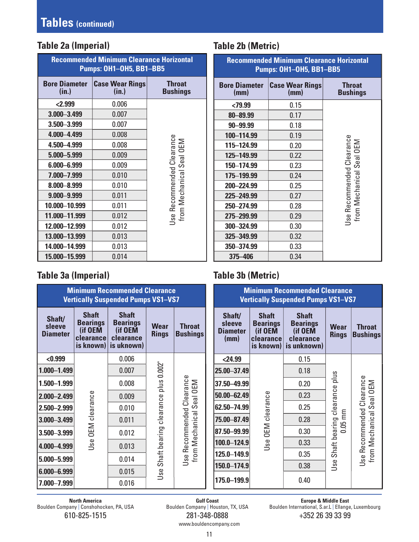## **Table 2a (Imperial)**

| <b>Recommended Minimum Clearance Horizontal</b><br>Pumps: OH1-OH5, BB1-BB5 |                                 |                                                       |  |  |  |  |
|----------------------------------------------------------------------------|---------------------------------|-------------------------------------------------------|--|--|--|--|
| <b>Bore Diameter</b><br>(in.)                                              | <b>Case Wear Rings</b><br>(in.) | <b>Throat</b><br><b>Bushings</b>                      |  |  |  |  |
| < 2.999                                                                    | 0.006                           |                                                       |  |  |  |  |
| 3.000 - 3.499                                                              | 0.007                           |                                                       |  |  |  |  |
| 3.500-3.999                                                                | 0.007                           |                                                       |  |  |  |  |
| 4.000-4.499                                                                | 0.008                           |                                                       |  |  |  |  |
| 4.500-4.999                                                                | 0.008                           | Jse Recommended Clearance<br>from Mechanical Seal OEM |  |  |  |  |
| 5.000-5.999                                                                | 0.009                           |                                                       |  |  |  |  |
| 6.000-6.999                                                                | 0.009                           |                                                       |  |  |  |  |
| 7.000-7.999                                                                | 0.010                           |                                                       |  |  |  |  |
| 8.000-8.999                                                                | 0.010                           |                                                       |  |  |  |  |
| 9.000-9.999                                                                | 0.011                           |                                                       |  |  |  |  |
| 10.000-10.999                                                              | 0.011                           |                                                       |  |  |  |  |
| 11.000-11.999                                                              | 0.012                           |                                                       |  |  |  |  |
| 12.000-12.999                                                              | 0.012                           |                                                       |  |  |  |  |
| 13.000-13.999                                                              | 0.013                           |                                                       |  |  |  |  |
| 14.000-14.999                                                              | 0.013                           |                                                       |  |  |  |  |
| 15.000-15.999                                                              | 0.014                           |                                                       |  |  |  |  |

## **Table 2b (Metric)**

| <b>Recommended Minimum Clearance Horizontal</b><br>Pumps: OH1-OH5, BB1-BB5 |                                |                                                       |  |  |  |  |
|----------------------------------------------------------------------------|--------------------------------|-------------------------------------------------------|--|--|--|--|
| <b>Bore Diameter</b><br>(mm)                                               | <b>Case Wear Rings</b><br>(mm) | <b>Throat</b><br><b>Bushings</b>                      |  |  |  |  |
| $<$ 79.99                                                                  | 0.15                           |                                                       |  |  |  |  |
| 80-89.99                                                                   | 0.17                           |                                                       |  |  |  |  |
| $90 - 99.99$                                                               | 0.18                           |                                                       |  |  |  |  |
| 100-114.99                                                                 | 0.19                           |                                                       |  |  |  |  |
| 115-124.99                                                                 | 0.20                           |                                                       |  |  |  |  |
| 125-149.99                                                                 | 0.22                           |                                                       |  |  |  |  |
| 150-174.99                                                                 | 0.23                           |                                                       |  |  |  |  |
| 175-199.99                                                                 | 0.24                           |                                                       |  |  |  |  |
| 200-224.99                                                                 | 0.25                           |                                                       |  |  |  |  |
| 225-249.99                                                                 | 0.27                           |                                                       |  |  |  |  |
| 250-274.99                                                                 | 0.28                           |                                                       |  |  |  |  |
| 275-299.99                                                                 | 0.29                           | Jse Recommended Clearance<br>from Mechanical Seal OEM |  |  |  |  |
| 300-324.99                                                                 | 0.30                           |                                                       |  |  |  |  |
| 325-349.99                                                                 | 0.32                           |                                                       |  |  |  |  |
| 350-374.99                                                                 | 0.33                           |                                                       |  |  |  |  |
| 375-406                                                                    | 0.34                           |                                                       |  |  |  |  |

## **Table 3a (Imperial) Table 3b (Metric)**

| <b>Minimum Recommended Clearance</b><br><b>Vertically Suspended Pumps VS1-VS7</b> |                                                                      |                                                                       |                                                       |                                  |                 |                                             | <b>Minimum Recommended Clearance</b><br><b>Vertically Suspended Pumps VS1-VS7</b> |                                                                        |                             |                                              |
|-----------------------------------------------------------------------------------|----------------------------------------------------------------------|-----------------------------------------------------------------------|-------------------------------------------------------|----------------------------------|-----------------|---------------------------------------------|-----------------------------------------------------------------------------------|------------------------------------------------------------------------|-----------------------------|----------------------------------------------|
| Shaft/<br>sleeve<br><b>Diameter</b>                                               | <b>Shaft</b><br><b>Bearings</b><br>(if OEM<br>clearance<br>is known) | <b>Shaft</b><br><b>Bearings</b><br>(if OEM<br>clearance<br>is uknown) | <b>Wear</b><br><b>Rings</b>                           | <b>Throat</b><br><b>Bushings</b> |                 | Shaft/<br>sleeve<br><b>Diameter</b><br>(mm) | <b>Shaft</b><br><b>Bearings</b><br>(if OEM<br>clearance<br>is known)              | <b>Shaft</b><br><b>Bearings</b><br>(if OEM<br>clearance<br>is unknown) | <b>Wear</b><br><b>Rings</b> | <b>Throat</b><br><b>Bushings</b>             |
| < 0.999                                                                           |                                                                      | 0.006                                                                 |                                                       |                                  |                 | < 24.99                                     |                                                                                   | 0.15                                                                   |                             |                                              |
| 1.000-1.499                                                                       |                                                                      | 0.007                                                                 | plus 0.002"<br>Use Recommended Clearance<br>clearance |                                  | 25.00 - 37.49   |                                             | 0.18                                                                              | pllus                                                                  |                             |                                              |
| $1.500 - 1.999$                                                                   |                                                                      | 0.008                                                                 |                                                       |                                  |                 | 37.50-49.99                                 |                                                                                   | 0.20                                                                   |                             |                                              |
| 2.000-2.499                                                                       |                                                                      | 0.009                                                                 |                                                       | Seal OEM                         | 50.00 - 62.49   |                                             | 0.23                                                                              |                                                                        | Seal OEM                    |                                              |
| 2.500-2.999                                                                       |                                                                      | 0.010                                                                 |                                                       |                                  |                 | 62.50-74.99                                 |                                                                                   | 0.25                                                                   | clearance                   |                                              |
| 3.000 - 3.499                                                                     | <b>OEM</b> clearance                                                 | 0.011                                                                 |                                                       |                                  | 75.00-87.49     |                                             | 0.28                                                                              | $\overline{\text{mm}}$<br>50                                           |                             |                                              |
| 3.500-3.999                                                                       |                                                                      | 0.012                                                                 | Shaft bearing                                         |                                  | from Mechanical | 87.50-99.99                                 | OEM clearance<br>Use                                                              | 0.30                                                                   | Shaft bearing               | Use Recommended Clearance<br>from Mechanical |
| 4.000-4.999                                                                       | Use                                                                  | 0.013                                                                 |                                                       |                                  |                 | 100.0-124.9                                 |                                                                                   | 0.33                                                                   |                             |                                              |
| 5.000-5.999                                                                       |                                                                      | 0.014                                                                 |                                                       |                                  | 125.0-149.9     |                                             | 0.35                                                                              |                                                                        |                             |                                              |
| 6.000-6.999                                                                       |                                                                      | 0.015                                                                 | Use                                                   |                                  |                 | 150.0-174.9                                 |                                                                                   | 0.38                                                                   | Use                         |                                              |
| 7.000-7.999                                                                       |                                                                      | 0.016                                                                 |                                                       |                                  |                 | 175.0-199.9                                 |                                                                                   | 0.40                                                                   |                             |                                              |

**North America Gulf Coast Europe & Middle East** 610-825-1515 281-348-0888 +352 26 39 33 99

Boulden Company | Conshohocken, PA, USA Boulden Company | Houston, TX, USA Boulden International, S.ar.L | Ellange, Luxembourg

www.bouldencompany.com